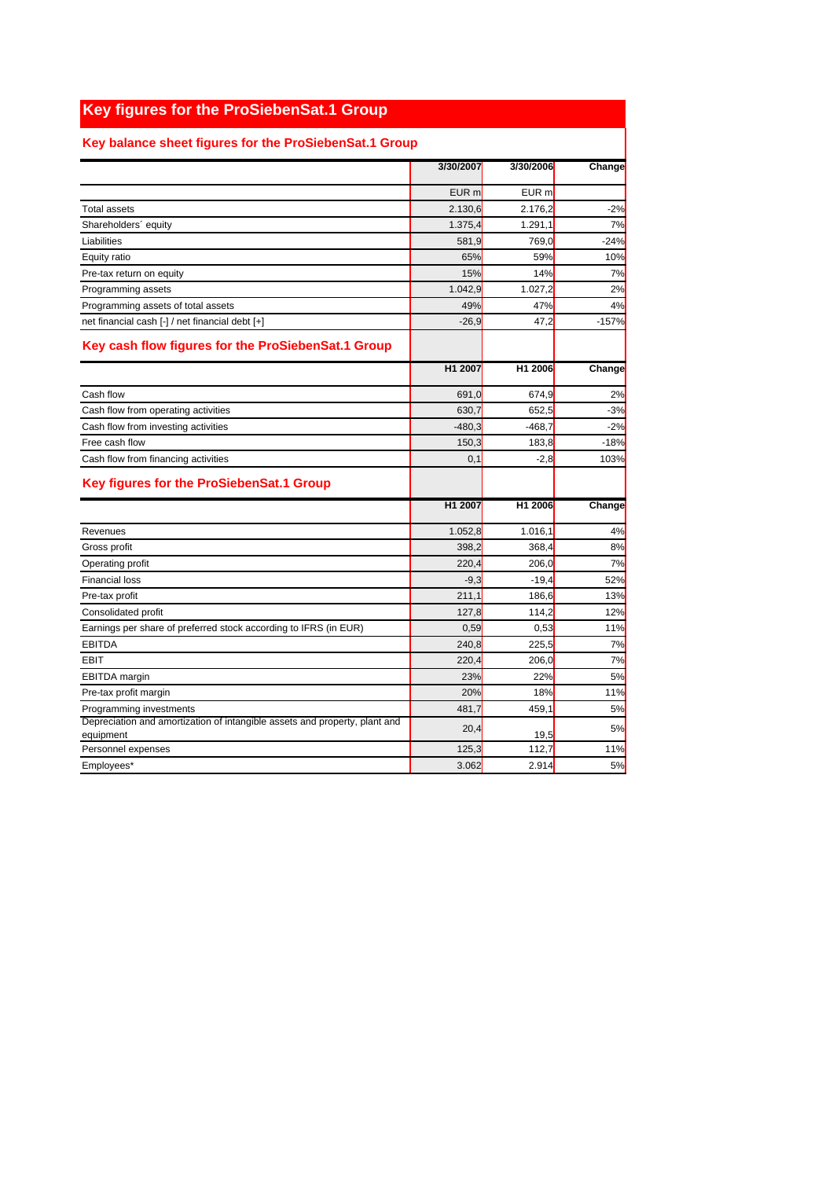## **Key figures for the ProSiebenSat.1 Group**

## **Key balance sheet figures for the ProSiebenSat.1 Group**

|                                                                                         | 3/30/2007        | 3/30/2006           | Change  |
|-----------------------------------------------------------------------------------------|------------------|---------------------|---------|
|                                                                                         | EUR <sub>m</sub> | EUR m               |         |
| <b>Total assets</b>                                                                     | 2.130,6          | 2.176,2             | $-2%$   |
| Shareholders' equity                                                                    | 1.375,4          | 1.291,1             | 7%      |
| Liabilities                                                                             | 581,9            | 769,0               | $-24%$  |
| Equity ratio                                                                            | 65%              | 59%                 | 10%     |
| Pre-tax return on equity                                                                | 15%              | 14%                 | 7%      |
| Programming assets                                                                      | 1.042,9          | 1.027,2             | 2%      |
| Programming assets of total assets                                                      | 49%              | 47%                 | 4%      |
| net financial cash [-] / net financial debt [+]                                         | $-26,9$          | 47,2                | $-157%$ |
| Key cash flow figures for the ProSiebenSat.1 Group                                      |                  |                     |         |
|                                                                                         | H1 2007          | H <sub>1</sub> 2006 | Change  |
| Cash flow                                                                               | 691,0            | 674,9               | 2%      |
| Cash flow from operating activities                                                     | 630,7            | 652,5               | $-3%$   |
| Cash flow from investing activities                                                     | $-480,3$         | $-468,7$            | $-2%$   |
| Free cash flow                                                                          | 150,3            | 183,8               | $-18%$  |
| Cash flow from financing activities                                                     | 0,1              | $-2,8$              | 103%    |
| Key figures for the ProSiebenSat.1 Group                                                |                  |                     |         |
|                                                                                         | H1 2007          | H <sub>1</sub> 2006 | Change  |
| Revenues                                                                                | 1.052,8          | 1.016,1             | 4%      |
| Gross profit                                                                            | 398,2            | 368,4               | 8%      |
| Operating profit                                                                        | 220,4            | 206.0               | 7%      |
| <b>Financial loss</b>                                                                   | $-9,3$           | $-19,4$             | 52%     |
| Pre-tax profit                                                                          | 211,1            | 186,6               | 13%     |
| Consolidated profit                                                                     | 127,8            | 114,2               | 12%     |
| Earnings per share of preferred stock according to IFRS (in EUR)                        | 0,59             | 0,53                | 11%     |
| <b>EBITDA</b>                                                                           | 240,8            | 225,5               | 7%      |
| <b>EBIT</b>                                                                             | 220,4            | 206,0               | 7%      |
| <b>EBITDA</b> margin                                                                    | 23%              | 22%                 | 5%      |
| Pre-tax profit margin                                                                   | 20%              | 18%                 | 11%     |
| Programming investments                                                                 | 481,7            | 459,1               | 5%      |
| Depreciation and amortization of intangible assets and property, plant and<br>equipment | 20,4             | 19,5                | 5%      |
| Personnel expenses                                                                      | 125,3            | 112.7               | 11%     |
| Employees*                                                                              | 3.062            | 2.914               | 5%      |